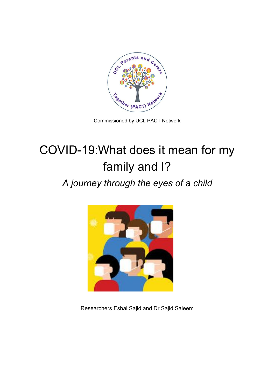

Commissioned by UCL PACT Network

# COVID-19:What does it mean for my family and I?

# *A journey through the eyes of a child*



Researchers Eshal Sajid and Dr Sajid Saleem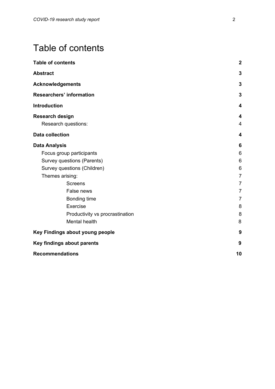# <span id="page-1-0"></span>Table of contents

| <b>Table of contents</b>        | $\boldsymbol{2}$ |
|---------------------------------|------------------|
| <b>Abstract</b>                 | 3                |
| <b>Acknowledgements</b>         | $\mathbf{3}$     |
| <b>Researchers' information</b> | $\mathbf{3}$     |
| <b>Introduction</b>             | 4                |
| <b>Research design</b>          | 4                |
| Research questions:             | 4                |
| <b>Data collection</b>          | 4                |
| <b>Data Analysis</b>            | 6                |
| Focus group participants        | 6                |
| Survey questions (Parents)      | 6                |
| Survey questions (Children)     | 6                |
| Themes arising:                 | $\overline{7}$   |
| <b>Screens</b>                  | $\overline{7}$   |
| False news                      | $\overline{7}$   |
| Bonding time                    | $\overline{7}$   |
| Exercise                        | 8                |
| Productivity vs procrastination | 8                |
| <b>Mental health</b>            | 8                |
| Key Findings about young people | 9                |
| Key findings about parents      | 9                |
| <b>Recommendations</b>          | 10               |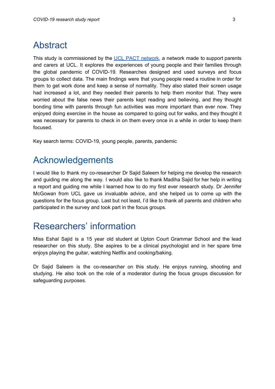### <span id="page-2-0"></span>Abstract

This study is commissioned by the UCL PACT [network,](https://www.ucl.ac.uk/equality-diversity-inclusion/committees-and-social-networks/parents-and-carers-together) a network made to support parents and carers at UCL. It explores the experiences of young people and their families through the global pandemic of COVID-19. Researches designed and used surveys and focus groups to collect data. The main findings were that young people need a routine in order for them to get work done and keep a sense of normality. They also stated their screen usage had increased a lot, and they needed their parents to help them monitor that. They were worried about the false news their parents kept reading and believing, and they thought bonding time with parents through fun activities was more important than ever now. They enjoyed doing exercise in the house as compared to going out for walks, and they thought it was necessary for parents to check in on them every once in a while in order to keep them focused.

<span id="page-2-1"></span>Key search terms: COVID-19, young people, parents, pandemic

### Acknowledgements

I would like to thank my co-researcher Dr Sajid Saleem for helping me develop the research and guiding me along the way. I would also like to thank Madiha Sajid for her help in writing a report and guiding me while I learned how to do my first ever research study. Dr Jennifer McGowan from UCL gave us invaluable advice, and she helped us to come up with the questions for the focus group. Last but not least, I'd like to thank all parents and children who participated in the survey and took part in the focus groups.

### <span id="page-2-2"></span>Researchers' information

Miss Eshal Sajid is a 15 year old student at Upton Court Grammar School and the lead researcher on this study. She aspires to be a clinical psychologist and in her spare time enjoys playing the guitar, watching Netflix and cooking/baking.

Dr Sajid Saleem is the co-researcher on this study. He enjoys running, shooting and studying. He also took on the role of a moderator during the focus groups discussion for safeguarding purposes.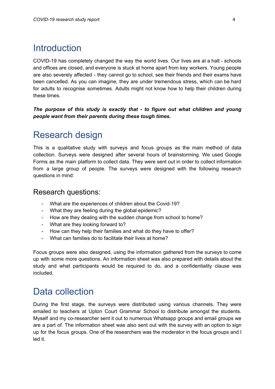# <span id="page-3-0"></span>**Introduction**

COVID-19 has completely changed the way the world lives. Our lives are at a halt - schools and offices are closed, and everyone is stuck at home apart from key workers. Young people are also severely affected - they cannot go to school, see their friends and their exams have been cancelled. As you can imagine, they are under tremendous stress, which can be hard for adults to recognise sometimes. Adults might not know how to help their children during these times.

*The purpose of this study is exactly that - to figure out what children and young people want from their parents during these tough times.*

### <span id="page-3-1"></span>Research design

This is a qualitative study with surveys and focus groups as the main method of data collection. Surveys were designed after several hours of brainstorming. We used Google Forms as the main platform to collect data. They were sent out in order to collect information from a large group of people. The surveys were designed with the following research questions in mind:

### <span id="page-3-2"></span>Research questions:

- What are the experiences of children about the Covid-19?
- What they are feeling during the global epidemic?
- How are they dealing with the sudden change from school to home?
- What are they looking forward to?
- How can they help their families and what do they have to offer?
- What can families do to facilitate their lives at home?

Focus groups were also designed, using the information gathered from the surveys to come up with some more questions. An information sheet was also prepared with details about the study and what participants would be required to do, and a confidentiality clause was included.

# Data collection

During the first stage, the surveys were distributed using various channels. They were emailed to teachers at Upton Court Grammar School to distribute amongst the students. Myself and my co-researcher sent it out to numerous Whatsapp groups and email groups we are a part of. The information sheet was also sent out with the survey with an option to sign up for the focus groups. One of the researchers was the moderator in the focus groups and I led it.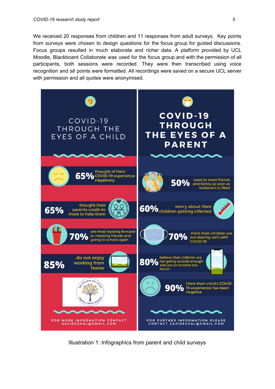We received 20 responses from children and 11 responses from adult surveys. Key points from surveys were chosen to design questions for the focus group for guided discussions. Focus groups resulted in much elaborate and richer data. A platform provided by UCL Moodle, Blackboard Collaborate was used for the focus group and with the permission of all participants, both sessions were recorded. They were then transcribed using voice recognition and all points were formatted. All recordings were saved on a secure UCL server with permission and all quotes were anonymised.



Illustration 1: Infographics from parent and child surveys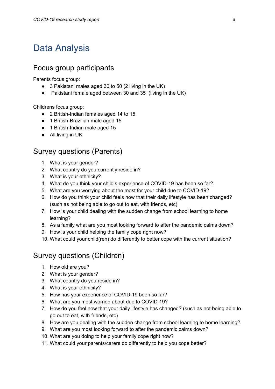## <span id="page-5-0"></span>Data Analysis

### <span id="page-5-1"></span>Focus group participants

Parents focus group:

- 3 Pakistani males aged 30 to 50 (2 living in the UK)
- Pakistani female aged between 30 and 35 (living in the UK)

Childrens focus group:

- 2 British-Indian females aged 14 to 15
- 1 British-Brazilian male aged 15
- 1 British-Indian male aged 15
- All living in UK

### <span id="page-5-2"></span>Survey questions (Parents)

- 1. What is your gender?
- 2. What country do you currently reside in?
- 3. What is your ethnicity?
- 4. What do you think your child's experience of COVID-19 has been so far?
- 5. What are you worrying about the most for your child due to COVID-19?
- 6. How do you think your child feels now that their daily lifestyle has been changed? (such as not being able to go out to eat, with friends, etc)
- 7. How is your child dealing with the sudden change from school learning to home learning?
- 8. As a family what are you most looking forward to after the pandemic calms down?
- 9. How is your child helping the family cope right now?
- 10. What could your child(ren) do differently to better cope with the current situation?

### <span id="page-5-3"></span>Survey questions (Children)

- 1. How old are you?
- 2. What is your gender?
- 3. What country do you reside in?
- 4. What is your ethnicity?
- 5. How has your experience of COVID-19 been so far?
- 6. What are you most worried about due to COVID-19?
- 7. How do you feel now that your daily lifestyle has changed? (such as not being able to go out to eat, with friends, etc)
- 8. How are you dealing with the sudden change from school learning to home learning?
- 9. What are you most looking forward to after the pandemic calms down?
- 10. What are you doing to help your family cope right now?
- 11. What could your parents/carers do differently to help you cope better?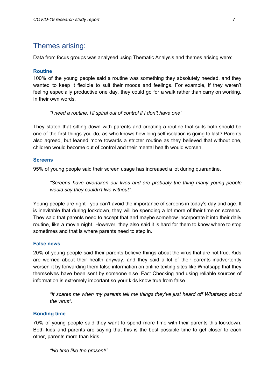### <span id="page-6-0"></span>Themes arising:

Data from focus groups was analysed using Thematic Analysis and themes arising were:

### **Routine**

100% of the young people said a routine was something they absolutely needed, and they wanted to keep it flexible to suit their moods and feelings. For example, if they weren't feeling especially productive one day, they could go for a walk rather than carry on working. In their own words.

*"I need a routine. I'll spiral out of control if I don't have one"*

They stated that sitting down with parents and creating a routine that suits both should be one of the first things you do, as who knows how long self-isolation is going to last? Parents also agreed, but leaned more towards a stricter routine as they believed that without one, children would become out of control and their mental health would worsen.

### <span id="page-6-1"></span>**Screens**

95% of young people said their screen usage has increased a lot during quarantine.

*"Screens have overtaken our lives and are probably the thing many young people would say they couldn't live without".*

Young people are right - you can't avoid the importance of screens in today's day and age. It is inevitable that during lockdown, they will be spending a lot more of their time on screens. They said that parents need to accept that and maybe somehow incorporate it into their daily routine, like a movie night. However, they also said it is hard for them to know where to stop sometimes and that is where parents need to step in.

### <span id="page-6-2"></span>**False news**

20% of young people said their parents believe things about the virus that are not true. Kids are worried about their health anyway, and they said a lot of their parents inadvertently worsen it by forwarding them false information on online texting sites like Whatsapp that they themselves have been sent by someone else. Fact Checking and using reliable sources of information is extremely important so your kids know true from false.

*"It scares me when my parents tell me things they've just heard off Whatsapp about the virus".*

### <span id="page-6-3"></span>**Bonding time**

70% of young people said they want to spend more time with their parents this lockdown. Both kids and parents are saying that this is the best possible time to get closer to each other, parents more than kids.

*"No time like the present!"*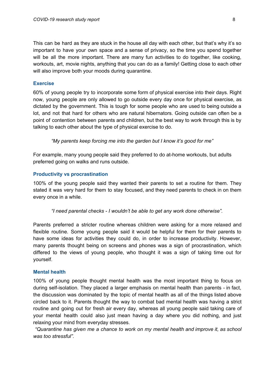This can be hard as they are stuck in the house all day with each other, but that's why it's so important to have your own space and a sense of privacy, so the time you spend together will be all the more important. There are many fun activities to do together, like cooking, workouts, art, movie nights, anything that you can do as a family! Getting close to each other will also improve both your moods during quarantine.

#### <span id="page-7-0"></span>**Exercise**

60% of young people try to incorporate some form of physical exercise into their days. Right now, young people are only allowed to go outside every day once for physical exercise, as dictated by the government. This is tough for some people who are used to being outside a lot, and not that hard for others who are natural hibernators. Going outside can often be a point of contention between parents and children, but the best way to work through this is by talking to each other about the type of physical exercise to do.

*"My parents keep forcing me into the garden but I know it's good for me"*

For example, many young people said they preferred to do at-home workouts, but adults preferred going on walks and runs outside.

#### <span id="page-7-1"></span>**Productivity vs procrastination**

100% of the young people said they wanted their parents to set a routine for them. They stated it was very hard for them to stay focused, and they need parents to check in on them every once in a while.

*"I need parental checks - I wouldn't be able to get any work done otherwise".*

Parents preferred a stricter routine whereas children were asking for a more relaxed and flexible routine. Some young people said it would be helpful for them for their parents to have some ideas for activities they could do, in order to increase productivity. However, many parents thought being on screens and phones was a sign of procrastination, which differed to the views of young people, who thought it was a sign of taking time out for yourself.

#### <span id="page-7-2"></span>**Mental health**

100% of young people thought mental health was the most important thing to focus on during self-isolation. They placed a larger emphasis on mental health than parents - in fact, the discussion was dominated by the topic of mental health as all of the things listed above circled back to it. Parents thought the way to combat bad mental health was having a strict routine and going out for fresh air every day, whereas all young people said taking care of your mental health could also just mean having a day where you did nothing, and just relaxing your mind from everyday stresses.

*"Quarantine has given me a chance to work on my mental health and improve it, as school was too stressful".*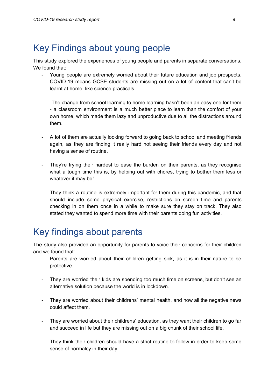# <span id="page-8-0"></span>Key Findings about young people

This study explored the experiences of young people and parents in separate conversations. We found that:

- Young people are extremely worried about their future education and job prospects. COVID-19 means GCSE students are missing out on a lot of content that can't be learnt at home, like science practicals.
- The change from school learning to home learning hasn't been an easy one for them - a classroom environment is a much better place to learn than the comfort of your own home, which made them lazy and unproductive due to all the distractions around them.
- A lot of them are actually looking forward to going back to school and meeting friends again, as they are finding it really hard not seeing their friends every day and not having a sense of routine.
- They're trying their hardest to ease the burden on their parents, as they recognise what a tough time this is, by helping out with chores, trying to bother them less or whatever it may be!
- They think a routine is extremely important for them during this pandemic, and that should include some physical exercise, restrictions on screen time and parents checking in on them once in a while to make sure they stay on track. They also stated they wanted to spend more time with their parents doing fun activities.

# <span id="page-8-1"></span>Key findings about parents

The study also provided an opportunity for parents to voice their concerns for their children and we found that:

- Parents are worried about their children getting sick, as it is in their nature to be protective.
- They are worried their kids are spending too much time on screens, but don't see an alternative solution because the world is in lockdown.
- They are worried about their childrens' mental health, and how all the negative news could affect them.
- They are worried about their childrens' education, as they want their children to go far and succeed in life but they are missing out on a big chunk of their school life.
- They think their children should have a strict routine to follow in order to keep some sense of normalcy in their day